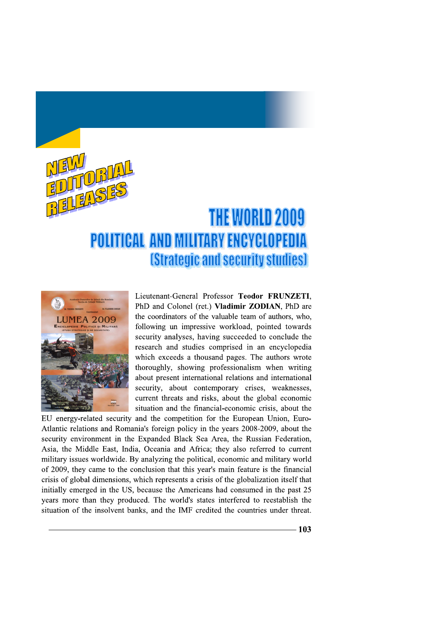

## **THE WORLD 2009 POLITICAL AND MILITARY ENCYCLOPEDIA** *<u>IStrategic and security studies]</u>*



Lieutenant-General Professor Teodor FRUNZETI, PhD and Colonel (ret.) Vladimir ZODIAN, PhD are the coordinators of the valuable team of authors, who, following un impressive workload, pointed towards security analyses, having succeeded to conclude the research and studies comprised in an encyclopedia which exceeds a thousand pages. The authors wrote thoroughly, showing professionalism when writing about present international relations and international security, about contemporary crises, weaknesses, current threats and risks, about the global economic situation and the financial-economic crisis, about the

EU energy-related security and the competition for the European Union, Euro-Atlantic relations and Romania's foreign policy in the years 2008-2009, about the security environment in the Expanded Black Sea Area, the Russian Federation, Asia, the Middle East, India, Oceania and Africa; they also referred to current military issues worldwide. By analyzing the political, economic and military world of 2009, they came to the conclusion that this year's main feature is the financial crisis of global dimensions, which represents a crisis of the globalization itself that initially emerged in the US, because the Americans had consumed in the past 25 years more than they produced. The world's states interfered to reestablish the situation of the insolvent banks, and the IMF credited the countries under threat.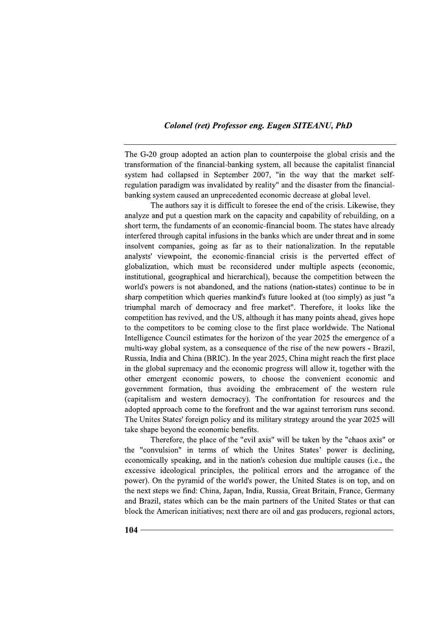## **Colonel (ret) Professor eng. Eugen SITEANU, PhD**

The G-20 group adopted an action plan to counterpoise the global crisis and the transformation of the financial-banking system, all because the capitalist financial system had collapsed in September 2007, "in the way that the market selfregulation paradigm was invalidated by reality" and the disaster from the financialbanking system caused an unprecedented economic decrease at global level.

The authors say it is difficult to foresee the end of the crisis. Likewise, they analyze and put a question mark on the capacity and capability of rebuilding, on a short term, the fundaments of an economic-financial boom. The states have already interfered through capital infusions in the banks which are under threat and in some insolvent companies, going as far as to their nationalization. In the reputable analysts' viewpoint, the economic-financial crisis is the perverted effect of globalization, which must be reconsidered under multiple aspects (economic, institutional, geographical and hierarchical), because the competition between the world's powers is not abandoned, and the nations (nation-states) continue to be in sharp competition which queries mankind's future looked at (too simply) as just "a triumphal march of democracy and free market". Therefore, it looks like the competition has revived, and the US, although it has many points ahead, gives hope to the competitors to be coming close to the first place worldwide. The National Intelligence Council estimates for the horizon of the year 2025 the emergence of a multi-way global system, as a consequence of the rise of the new powers - Brazil, Russia, India and China (BRIC). In the year 2025, China might reach the first place in the global supremacy and the economic progress will allow it, together with the other emergent economic powers, to choose the convenient economic and government formation, thus avoiding the embracement of the western rule (capitalism and western democracy). The confrontation for resources and the adopted approach come to the forefront and the war against terrorism runs second. The Unites States' foreign policy and its military strategy around the year 2025 will take shape beyond the economic benefits.

Therefore, the place of the "evil axis" will be taken by the "chaos axis" or the "convulsion" in terms of which the Unites States' power is declining, economically speaking, and in the nation's cohesion due multiple causes (i.e., the excessive ideological principles, the political errors and the arrogance of the power). On the pyramid of the world's power, the United States is on top, and on the next steps we find: China, Japan, India, Russia, Great Britain, France, Germany and Brazil, states which can be the main partners of the United States or that can block the American initiatives; next there are oil and gas producers, regional actors,

 $104 -$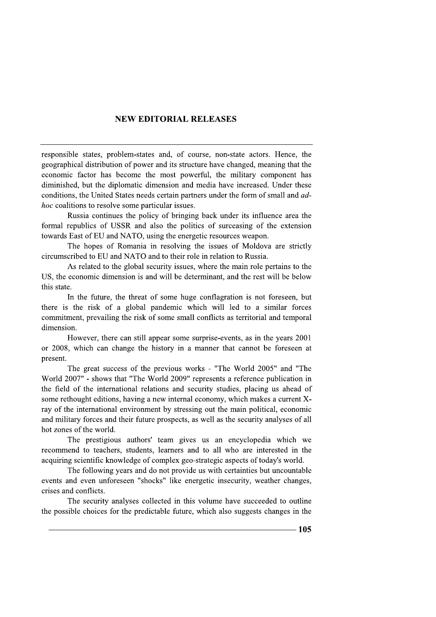## **NEW EDITORIAL RELEASES**

responsible states, problem-states and, of course, non-state actors. Hence, the geographical distribution of power and its structure have changed, meaning that the economic factor has become the most powerful, the military component has diminished, but the diplomatic dimension and media have increased. Under these conditions, the United States needs certain partners under the form of small and ad*hoc* coalitions to resolve some particular issues.

Russia continues the policy of bringing back under its influence area the formal republics of USSR and also the politics of surceasing of the extension towards East of EU and NATO, using the energetic resources weapon.

The hopes of Romania in resolving the issues of Moldova are strictly circumscribed to EU and NATO and to their role in relation to Russia.

As related to the global security issues, where the main role pertains to the US, the economic dimension is and will be determinant, and the rest will be below this state.

In the future, the threat of some huge conflagration is not foreseen, but there is the risk of a global pandemic which will led to a similar forces commitment, prevailing the risk of some small conflicts as territorial and temporal dimension.

However, there can still appear some surprise-events, as in the years 2001 or 2008, which can change the history in a manner that cannot be foreseen at present.

The great success of the previous works - "The World 2005" and "The World 2007" - shows that "The World 2009" represents a reference publication in the field of the international relations and security studies, placing us ahead of some rethought editions, having a new internal economy, which makes a current Xray of the international environment by stressing out the main political, economic and military forces and their future prospects, as well as the security analyses of all hot zones of the world.

The prestigious authors' team gives us an encyclopedia which we recommend to teachers, students, learners and to all who are interested in the acquiring scientific knowledge of complex geo-strategic aspects of today's world.

The following years and do not provide us with certainties but uncountable events and even unforeseen "shocks" like energetic insecurity, weather changes, crises and conflicts.

The security analyses collected in this volume have succeeded to outline the possible choices for the predictable future, which also suggests changes in the